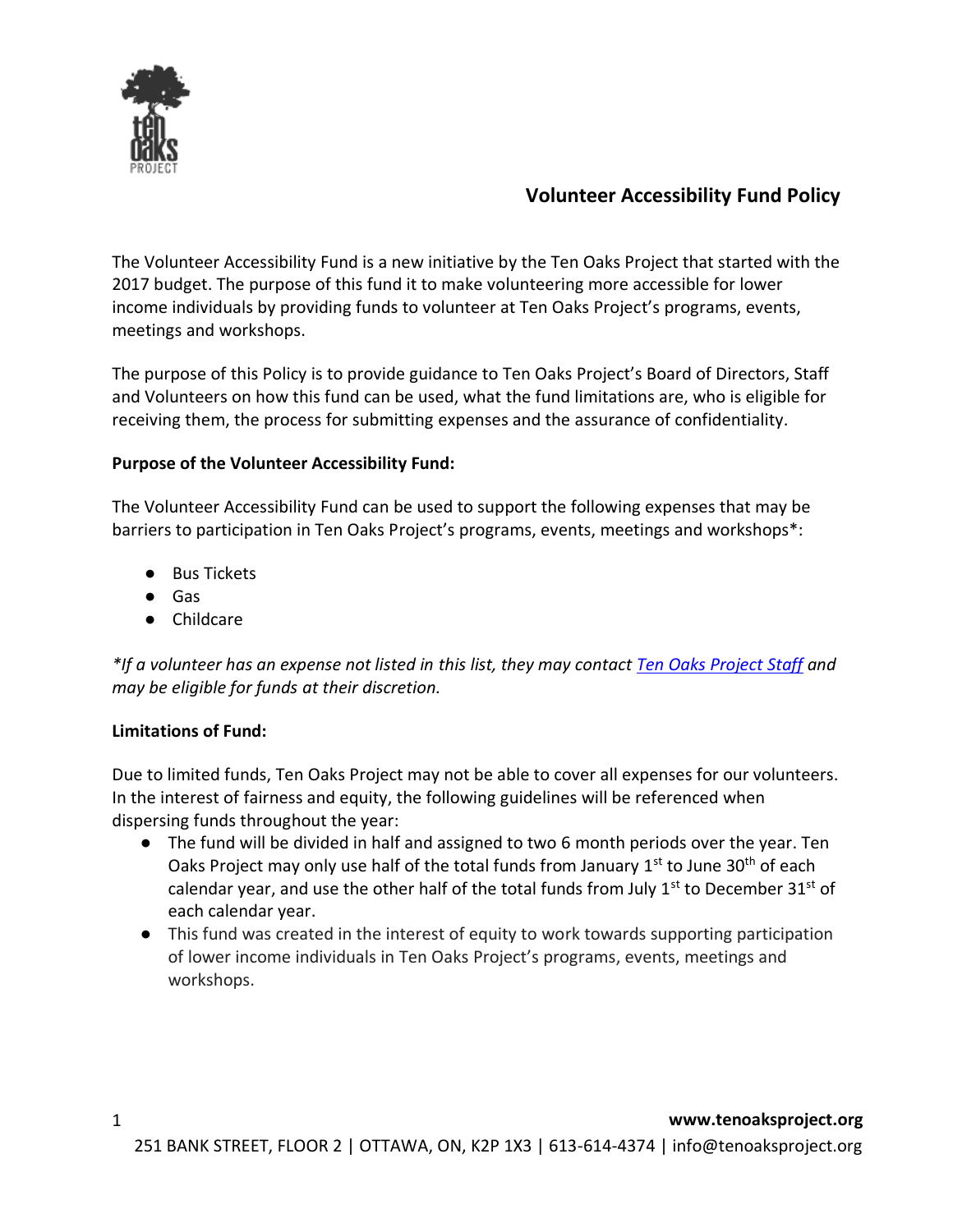

# **Volunteer Accessibility Fund Policy**

The Volunteer Accessibility Fund is a new initiative by the Ten Oaks Project that started with the 2017 budget. The purpose of this fund it to make volunteering more accessible for lower income individuals by providing funds to volunteer at Ten Oaks Project's programs, events, meetings and workshops.

The purpose of this Policy is to provide guidance to Ten Oaks Project's Board of Directors, Staff and Volunteers on how this fund can be used, what the fund limitations are, who is eligible for receiving them, the process for submitting expenses and the assurance of confidentiality.

## **Purpose of the Volunteer Accessibility Fund:**

The Volunteer Accessibility Fund can be used to support the following expenses that may be barriers to participation in Ten Oaks Project's programs, events, meetings and workshops\*:

- Bus Tickets
- Gas
- Childcare

*\*If a volunteer has an expense not listed in this list, they may contact [Ten Oaks Project](mailto:info@tenoaksproject.org) Staff and may be eligible for funds at their discretion.* 

## **Limitations of Fund:**

Due to limited funds, Ten Oaks Project may not be able to cover all expenses for our volunteers. In the interest of fairness and equity, the following guidelines will be referenced when dispersing funds throughout the year:

- The fund will be divided in half and assigned to two 6 month periods over the year. Ten Oaks Project may only use half of the total funds from January  $1^{st}$  to June 30<sup>th</sup> of each calendar year, and use the other half of the total funds from July  $1<sup>st</sup>$  to December 31<sup>st</sup> of each calendar year.
- This fund was created in the interest of equity to work towards supporting participation of lower income individuals in Ten Oaks Project's programs, events, meetings and workshops.

1